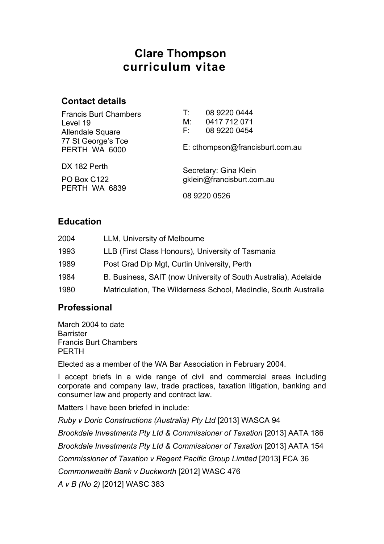# **Clare Thompson curriculum vitae**

### **Contact details**

| <b>Francis Burt Chambers</b><br>Level 19<br>Allendale Square | 08 9220 0444<br>T:<br>0417 712 071<br>М:<br>08 9220 0454<br>F: I |
|--------------------------------------------------------------|------------------------------------------------------------------|
| 77 St George's Tce<br>PERTH WA 6000                          | E: cthompson@francisburt.com.au                                  |
| DX 182 Perth                                                 | Secretary: Gina Klein                                            |
| PO Box C122<br>PERTH WA 6839                                 | gklein@francisburt.com.au                                        |
|                                                              | 08 9220 0526                                                     |

### **Education**

| 2004 | LLM, University of Melbourne                                    |
|------|-----------------------------------------------------------------|
| 1993 | LLB (First Class Honours), University of Tasmania               |
| 1989 | Post Grad Dip Mgt, Curtin University, Perth                     |
| 1984 | B. Business, SAIT (now University of South Australia), Adelaide |
| 1980 | Matriculation, The Wilderness School, Medindie, South Australia |

## **Professional**

March 2004 to date **Barrister** Francis Burt Chambers PERTH

Elected as a member of the WA Bar Association in February 2004.

I accept briefs in a wide range of civil and commercial areas including corporate and company law, trade practices, taxation litigation, banking and consumer law and property and contract law.

Matters I have been briefed in include:

*Ruby v Doric Constructions (Australia) Pty Ltd* [2013] WASCA 94

*Brookdale Investments Pty Ltd & Commissioner of Taxation* [2013] AATA 186 *Brookdale Investments Pty Ltd & Commissioner of Taxation* [2013] AATA 154

*Commissioner of Taxation v Regent Pacific Group Limited* [2013] FCA 36

*Commonwealth Bank v Duckworth* [2012] WASC 476

*A v B (No 2)* [2012] WASC 383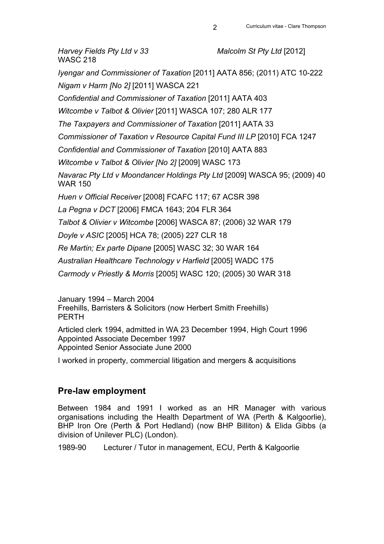*Harvey Fields Pty Ltd v 33 Malcolm St Pty Ltd* [2012] WASC 218 *Iyengar and Commissioner of Taxation* [2011] AATA 856; (2011) ATC 10-222 *Nigam v Harm [No 2]* [2011] WASCA 221 *Confidential and Commissioner of Taxation* [2011] AATA 403 *Witcombe v Talbot & Olivier* [2011] WASCA 107; 280 ALR 177 *The Taxpayers and Commissioner of Taxation* [2011] AATA 33 *Commissioner of Taxation v Resource Capital Fund III LP* [2010] FCA 1247 *Confidential and Commissioner of Taxation* [2010] AATA 883 *Witcombe v Talbot & Olivier [No 2]* [2009] WASC 173 *Navarac Pty Ltd v Moondancer Holdings Pty Ltd* [2009] WASCA 95; (2009) 40 WAR 150 *Huen v Official Receiver* [2008] FCAFC 117; 67 ACSR 398 *La Pegna v DCT* [2006] FMCA 1643; 204 FLR 364 *Talbot & Olivier v Witcombe* [2006] WASCA 87; (2006) 32 WAR 179 *Doyle v ASIC* [2005] HCA 78; (2005) 227 CLR 18 *Re Martin; Ex parte Dipane* [2005] WASC 32; 30 WAR 164 *Australian Healthcare Technology v Harfield* [2005] WADC 175 *Carmody v Priestly & Morris* [2005] WASC 120; (2005) 30 WAR 318

January 1994 – March 2004 Freehills, Barristers & Solicitors (now Herbert Smith Freehills) PERTH

Articled clerk 1994, admitted in WA 23 December 1994, High Court 1996 Appointed Associate December 1997 Appointed Senior Associate June 2000

I worked in property, commercial litigation and mergers & acquisitions

### **Pre-law employment**

Between 1984 and 1991 I worked as an HR Manager with various organisations including the Health Department of WA (Perth & Kalgoorlie), BHP Iron Ore (Perth & Port Hedland) (now BHP Billiton) & Elida Gibbs (a division of Unilever PLC) (London).

1989-90 Lecturer / Tutor in management, ECU, Perth & Kalgoorlie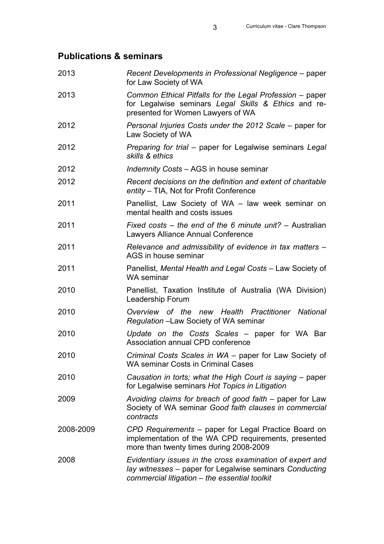# **Publications & seminars**

| 2013      | Recent Developments in Professional Negligence – paper<br>for Law Society of WA                                                                                       |
|-----------|-----------------------------------------------------------------------------------------------------------------------------------------------------------------------|
| 2013      | Common Ethical Pitfalls for the Legal Profession – paper<br>for Legalwise seminars Legal Skills & Ethics and re-<br>presented for Women Lawyers of WA                 |
| 2012      | Personal Injuries Costs under the 2012 Scale – paper for<br>Law Society of WA                                                                                         |
| 2012      | Preparing for trial – paper for Legalwise seminars Legal<br>skills & ethics                                                                                           |
| 2012      | <i>Indemnity Costs – AGS in house seminar</i>                                                                                                                         |
| 2012      | Recent decisions on the definition and extent of charitable<br>entity – TIA, Not for Profit Conference                                                                |
| 2011      | Panellist, Law Society of WA - law week seminar on<br>mental health and costs issues                                                                                  |
| 2011      | Fixed costs – the end of the 6 minute unit? – Australian<br>Lawyers Alliance Annual Conference                                                                        |
| 2011      | Relevance and admissibility of evidence in tax matters -<br>AGS in house seminar                                                                                      |
| 2011      | Panellist, Mental Health and Legal Costs - Law Society of<br><b>WA seminar</b>                                                                                        |
| 2010      | Panellist, Taxation Institute of Australia (WA Division)<br>Leadership Forum                                                                                          |
| 2010      | Overview of the new Health Practitioner National<br>Regulation -Law Society of WA seminar                                                                             |
| 2010      | Update on the Costs Scales – paper for WA Bar<br>Association annual CPD conference                                                                                    |
| 2010      | Criminal Costs Scales in WA - paper for Law Society of<br><b>WA seminar Costs in Criminal Cases</b>                                                                   |
| 2010      | Causation in torts; what the High Court is saying - paper<br>for Legalwise seminars Hot Topics in Litigation                                                          |
| 2009      | Avoiding claims for breach of good faith – paper for Law<br>Society of WA seminar Good faith clauses in commercial<br>contracts                                       |
| 2008-2009 | CPD Requirements – paper for Legal Practice Board on<br>implementation of the WA CPD requirements, presented<br>more than twenty times during 2008-2009               |
| 2008      | Evidentiary issues in the cross examination of expert and<br>lay witnesses - paper for Legalwise seminars Conducting<br>commercial litigation - the essential toolkit |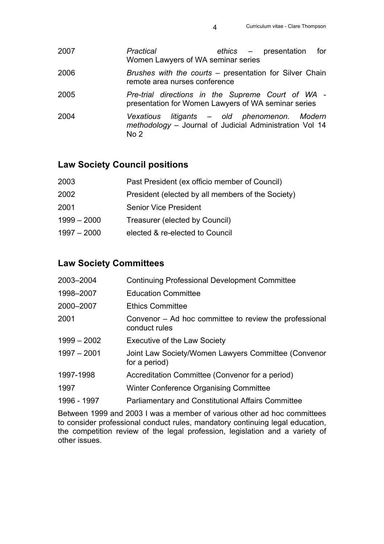| 2007 | Practical<br>Women Lawyers of WA seminar series     | ethics – presentation<br>for                                                                  |
|------|-----------------------------------------------------|-----------------------------------------------------------------------------------------------|
| 2006 | remote area nurses conference                       | Brushes with the courts – presentation for Silver Chain                                       |
| 2005 | presentation for Women Lawyers of WA seminar series | Pre-trial directions in the Supreme Court of WA -                                             |
| 2004 | Vexatious<br>No <sub>2</sub>                        | litigants – old phenomenon. Modern<br>methodology - Journal of Judicial Administration Vol 14 |

## **Law Society Council positions**

| 2003          | Past President (ex officio member of Council)     |
|---------------|---------------------------------------------------|
| 2002          | President (elected by all members of the Society) |
| 2001          | <b>Senior Vice President</b>                      |
| $1999 - 2000$ | Treasurer (elected by Council)                    |
| $1997 - 2000$ | elected & re-elected to Council                   |
|               |                                                   |

## **Law Society Committees**

| 2003-2004     | <b>Continuing Professional Development Committee</b>                    |
|---------------|-------------------------------------------------------------------------|
| 1998-2007     | <b>Education Committee</b>                                              |
| 2000-2007     | <b>Ethics Committee</b>                                                 |
| 2001          | Convenor – Ad hoc committee to review the professional<br>conduct rules |
| $1999 - 2002$ | <b>Executive of the Law Society</b>                                     |
| $1997 - 2001$ | Joint Law Society/Women Lawyers Committee (Convenor<br>for a period)    |
| 1997-1998     | Accreditation Committee (Convenor for a period)                         |
| 1997          | Winter Conference Organising Committee                                  |
| 1996 - 1997   | <b>Parliamentary and Constitutional Affairs Committee</b>               |

Between 1999 and 2003 I was a member of various other ad hoc committees to consider professional conduct rules, mandatory continuing legal education, the competition review of the legal profession, legislation and a variety of other issues.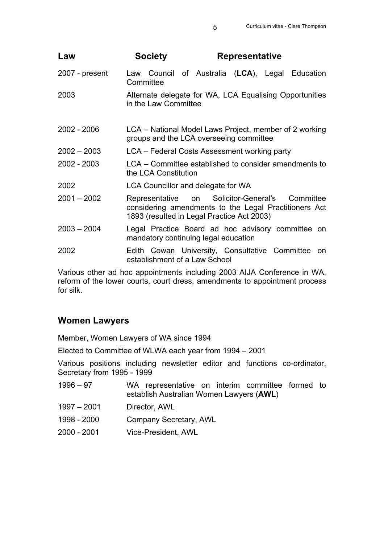| Law            | <b>Society</b>                            | <b>Representative</b>                                                                                                                        |           |
|----------------|-------------------------------------------|----------------------------------------------------------------------------------------------------------------------------------------------|-----------|
| 2007 - present | Committee                                 | Law Council of Australia (LCA), Legal Education                                                                                              |           |
| 2003           | in the Law Committee                      | Alternate delegate for WA, LCA Equalising Opportunities                                                                                      |           |
| 2002 - 2006    |                                           | LCA – National Model Laws Project, member of 2 working<br>groups and the LCA overseeing committee                                            |           |
| $2002 - 2003$  |                                           | LCA – Federal Costs Assessment working party                                                                                                 |           |
| 2002 - 2003    | the LCA Constitution                      | LCA – Committee established to consider amendments to                                                                                        |           |
| 2002           | <b>LCA Councillor and delegate for WA</b> |                                                                                                                                              |           |
| $2001 - 2002$  |                                           | Representative on Solicitor-General's<br>considering amendments to the Legal Practitioners Act<br>1893 (resulted in Legal Practice Act 2003) | Committee |
| $2003 - 2004$  | mandatory continuing legal education      | Legal Practice Board ad hoc advisory committee on                                                                                            |           |
| 2002           | establishment of a Law School             | Edith Cowan University, Consultative Committee                                                                                               | on.       |

Various other ad hoc appointments including 2003 AIJA Conference in WA, reform of the lower courts, court dress, amendments to appointment process for silk.

## **Women Lawyers**

Member, Women Lawyers of WA since 1994

Elected to Committee of WLWA each year from 1994 – 2001

Various positions including newsletter editor and functions co-ordinator, Secretary from 1995 - 1999

| $1996 - 97$ | WA representative on interim committee formed to<br>establish Australian Women Lawyers (AWL) |
|-------------|----------------------------------------------------------------------------------------------|
| 1997 - 2001 | Director, AWL                                                                                |
| 1998 - 2000 | Company Secretary, AWL                                                                       |
| 2000 - 2001 | Vice-President, AWL                                                                          |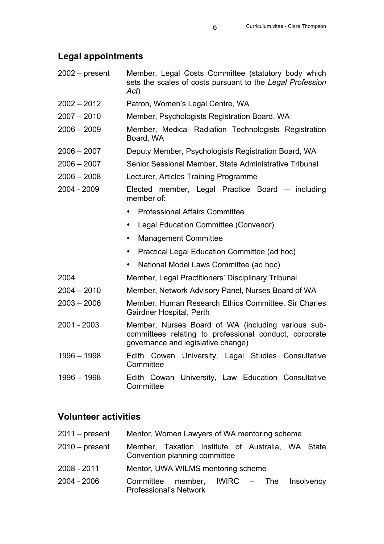#### **Legal appointments**

- 2002 present Member, Legal Costs Committee (statutory body which sets the scales of costs pursuant to the *Legal Profession Act*)
- 2002 2012 Patron, Women's Legal Centre, WA
- 2007 2010 Member, Psychologists Registration Board, WA
- 2006 2009 Member, Medical Radiation Technologists Registration Board, WA
- 2006 2007 Deputy Member, Psychologists Registration Board, WA
- 2006 2007 Senior Sessional Member, State Administrative Tribunal
- 2006 2008 Lecturer, Articles Training Programme
- 2004 2009 Elected member, Legal Practice Board including member of:
	- Professional Affairs Committee
	- Legal Education Committee (Convenor)
	- Management Committee
	- Practical Legal Education Committee (ad hoc)
	- National Model Laws Committee (ad hoc)
- 2004 Member, Legal Practitioners' Disciplinary Tribunal
- 2004 2010 Member, Network Advisory Panel, Nurses Board of WA
- 2003 2006 Member, Human Research Ethics Committee, Sir Charles Gairdner Hospital, Perth
- 2001 2003 Member, Nurses Board of WA (including various subcommittees relating to professional conduct, corporate governance and legislative change)
- 1996 1998 Edith Cowan University, Legal Studies Consultative **Committee**
- 1996 1998 Edith Cowan University, Law Education Consultative **Committee**

### **Volunteer activities**

| $2011 - present$ | Mentor, Women Lawyers of WA mentoring scheme                                       |                   |
|------------------|------------------------------------------------------------------------------------|-------------------|
| $2010 - present$ | Member, Taxation Institute of Australia, WA State<br>Convention planning committee |                   |
| 2008 - 2011      | Mentor, UWA WILMS mentoring scheme                                                 |                   |
| 2004 - 2006      | Committee member, IWIRC – The<br><b>Professional's Network</b>                     | <b>Insolvency</b> |